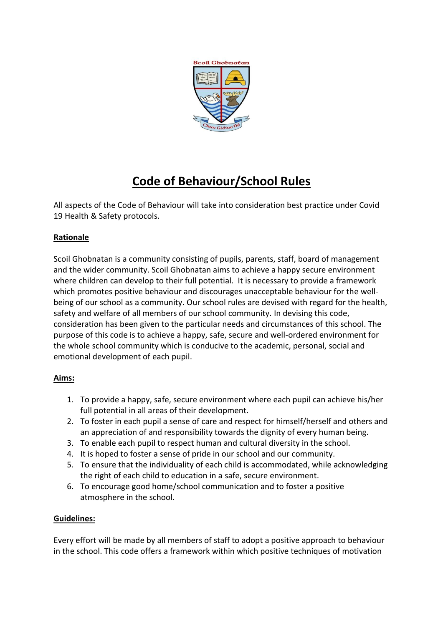

# **Code of Behaviour/School Rules**

All aspects of the Code of Behaviour will take into consideration best practice under Covid 19 Health & Safety protocols.

# **Rationale**

Scoil Ghobnatan is a community consisting of pupils, parents, staff, board of management and the wider community. Scoil Ghobnatan aims to achieve a happy secure environment where children can develop to their full potential. It is necessary to provide a framework which promotes positive behaviour and discourages unacceptable behaviour for the wellbeing of our school as a community. Our school rules are devised with regard for the health, safety and welfare of all members of our school community. In devising this code, consideration has been given to the particular needs and circumstances of this school. The purpose of this code is to achieve a happy, safe, secure and well-ordered environment for the whole school community which is conducive to the academic, personal, social and emotional development of each pupil.

# **Aims:**

- 1. To provide a happy, safe, secure environment where each pupil can achieve his/her full potential in all areas of their development.
- 2. To foster in each pupil a sense of care and respect for himself/herself and others and an appreciation of and responsibility towards the dignity of every human being.
- 3. To enable each pupil to respect human and cultural diversity in the school.
- 4. It is hoped to foster a sense of pride in our school and our community.
- 5. To ensure that the individuality of each child is accommodated, while acknowledging the right of each child to education in a safe, secure environment.
- 6. To encourage good home/school communication and to foster a positive atmosphere in the school.

# **Guidelines:**

Every effort will be made by all members of staff to adopt a positive approach to behaviour in the school. This code offers a framework within which positive techniques of motivation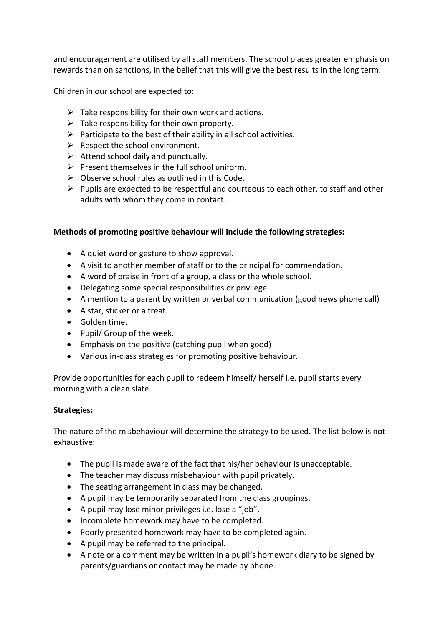and encouragement are utilised by all staff members. The school places greater emphasis on rewards than on sanctions, in the belief that this will give the best results in the long term.

Children in our school are expected to:

- $\triangleright$  Take responsibility for their own work and actions.
- $\triangleright$  Take responsibility for their own property.
- $\triangleright$  Participate to the best of their ability in all school activities.
- $\triangleright$  Respect the school environment.
- $\triangleright$  Attend school daily and punctually.
- $\triangleright$  Present themselves in the full school uniform.
- $\triangleright$  Observe school rules as outlined in this Code.
- $\triangleright$  Pupils are expected to be respectful and courteous to each other, to staff and other adults with whom they come in contact.

# **Methods of promoting positive behaviour will include the following strategies:**

- A quiet word or gesture to show approval.
- A visit to another member of staff or to the principal for commendation.
- A word of praise in front of a group, a class or the whole school.
- Delegating some special responsibilities or privilege.
- A mention to a parent by written or verbal communication (good news phone call)
- A star, sticker or a treat.
- Golden time.
- Pupil/ Group of the week.
- Emphasis on the positive (catching pupil when good)
- Various in-class strategies for promoting positive behaviour.

Provide opportunities for each pupil to redeem himself/ herself i.e. pupil starts every morning with a clean slate.

# **Strategies:**

The nature of the misbehaviour will determine the strategy to be used. The list below is not exhaustive:

- The pupil is made aware of the fact that his/her behaviour is unacceptable.
- The teacher may discuss misbehaviour with pupil privately.
- The seating arrangement in class may be changed.
- A pupil may be temporarily separated from the class groupings.
- A pupil may lose minor privileges i.e. lose a "job".
- Incomplete homework may have to be completed.
- Poorly presented homework may have to be completed again.
- A pupil may be referred to the principal.
- A note or a comment may be written in a pupil's homework diary to be signed by parents/guardians or contact may be made by phone.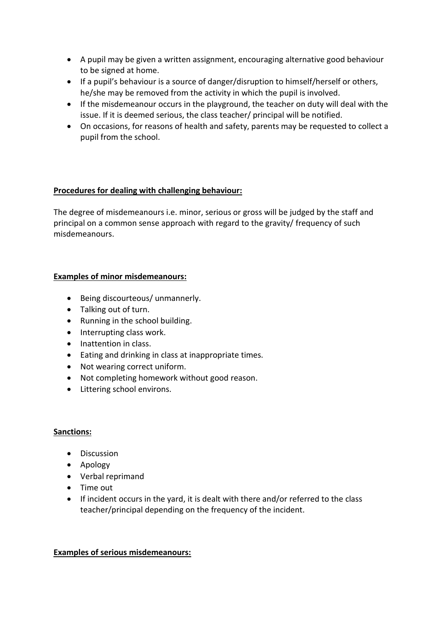- A pupil may be given a written assignment, encouraging alternative good behaviour to be signed at home.
- If a pupil's behaviour is a source of danger/disruption to himself/herself or others, he/she may be removed from the activity in which the pupil is involved.
- If the misdemeanour occurs in the playground, the teacher on duty will deal with the issue. If it is deemed serious, the class teacher/ principal will be notified.
- On occasions, for reasons of health and safety, parents may be requested to collect a pupil from the school.

# **Procedures for dealing with challenging behaviour:**

The degree of misdemeanours i.e. minor, serious or gross will be judged by the staff and principal on a common sense approach with regard to the gravity/ frequency of such misdemeanours.

# **Examples of minor misdemeanours:**

- Being discourteous/ unmannerly.
- Talking out of turn.
- Running in the school building.
- Interrupting class work.
- Inattention in class.
- Eating and drinking in class at inappropriate times.
- Not wearing correct uniform.
- Not completing homework without good reason.
- Littering school environs.

#### **Sanctions:**

- **•** Discussion
- Apology
- Verbal reprimand
- Time out
- If incident occurs in the yard, it is dealt with there and/or referred to the class teacher/principal depending on the frequency of the incident.

#### **Examples of serious misdemeanours:**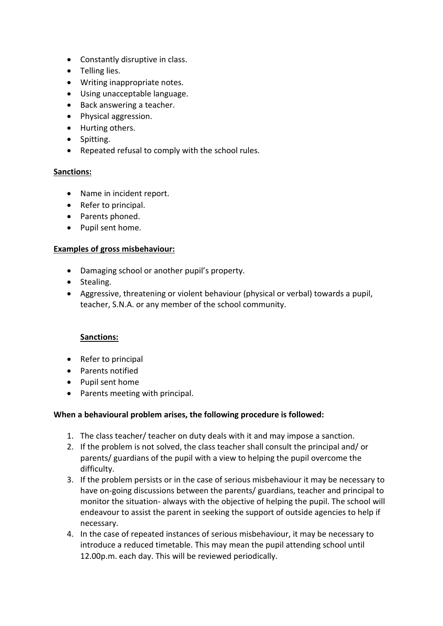- Constantly disruptive in class.
- Telling lies.
- Writing inappropriate notes.
- Using unacceptable language.
- Back answering a teacher.
- Physical aggression.
- Hurting others.
- Spitting.
- Repeated refusal to comply with the school rules.

#### **Sanctions:**

- Name in incident report.
- Refer to principal.
- Parents phoned.
- Pupil sent home.

#### **Examples of gross misbehaviour:**

- Damaging school or another pupil's property.
- Stealing.
- Aggressive, threatening or violent behaviour (physical or verbal) towards a pupil, teacher, S.N.A. or any member of the school community.

# **Sanctions:**

- Refer to principal
- Parents notified
- Pupil sent home
- Parents meeting with principal.

# **When a behavioural problem arises, the following procedure is followed:**

- 1. The class teacher/ teacher on duty deals with it and may impose a sanction.
- 2. If the problem is not solved, the class teacher shall consult the principal and/ or parents/ guardians of the pupil with a view to helping the pupil overcome the difficulty.
- 3. If the problem persists or in the case of serious misbehaviour it may be necessary to have on-going discussions between the parents/ guardians, teacher and principal to monitor the situation- always with the objective of helping the pupil. The school will endeavour to assist the parent in seeking the support of outside agencies to help if necessary.
- 4. In the case of repeated instances of serious misbehaviour, it may be necessary to introduce a reduced timetable. This may mean the pupil attending school until 12.00p.m. each day. This will be reviewed periodically.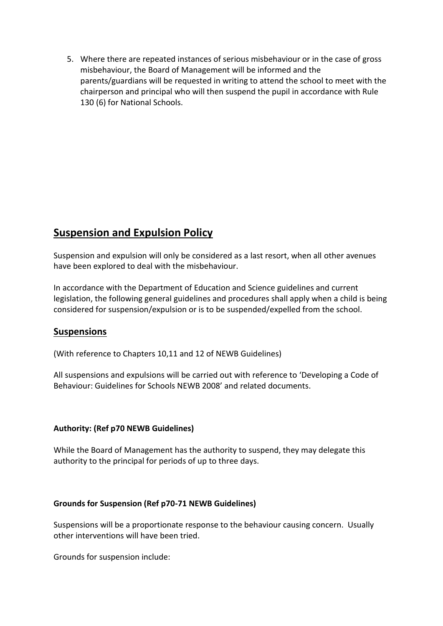5. Where there are repeated instances of serious misbehaviour or in the case of gross misbehaviour, the Board of Management will be informed and the parents/guardians will be requested in writing to attend the school to meet with the chairperson and principal who will then suspend the pupil in accordance with Rule 130 (6) for National Schools.

# **Suspension and Expulsion Policy**

Suspension and expulsion will only be considered as a last resort, when all other avenues have been explored to deal with the misbehaviour.

In accordance with the Department of Education and Science guidelines and current legislation, the following general guidelines and procedures shall apply when a child is being considered for suspension/expulsion or is to be suspended/expelled from the school.

# **Suspensions**

(With reference to Chapters 10,11 and 12 of NEWB Guidelines)

All suspensions and expulsions will be carried out with reference to 'Developing a Code of Behaviour: Guidelines for Schools NEWB 2008' and related documents.

#### **Authority: (Ref p70 NEWB Guidelines)**

While the Board of Management has the authority to suspend, they may delegate this authority to the principal for periods of up to three days.

#### **Grounds for Suspension (Ref p70-71 NEWB Guidelines)**

Suspensions will be a proportionate response to the behaviour causing concern. Usually other interventions will have been tried.

Grounds for suspension include: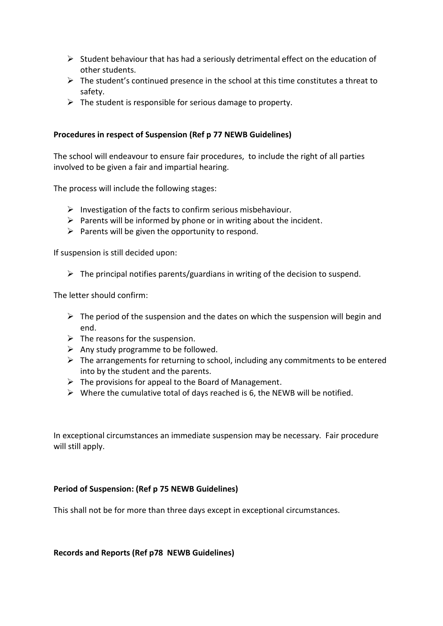- $\triangleright$  Student behaviour that has had a seriously detrimental effect on the education of other students.
- $\triangleright$  The student's continued presence in the school at this time constitutes a threat to safety.
- $\triangleright$  The student is responsible for serious damage to property.

# **Procedures in respect of Suspension (Ref p 77 NEWB Guidelines)**

The school will endeavour to ensure fair procedures, to include the right of all parties involved to be given a fair and impartial hearing.

The process will include the following stages:

- $\triangleright$  Investigation of the facts to confirm serious misbehaviour.
- $\triangleright$  Parents will be informed by phone or in writing about the incident.
- $\triangleright$  Parents will be given the opportunity to respond.

If suspension is still decided upon:

 $\triangleright$  The principal notifies parents/guardians in writing of the decision to suspend.

The letter should confirm:

- $\triangleright$  The period of the suspension and the dates on which the suspension will begin and end.
- $\triangleright$  The reasons for the suspension.
- $\triangleright$  Any study programme to be followed.
- $\triangleright$  The arrangements for returning to school, including any commitments to be entered into by the student and the parents.
- $\triangleright$  The provisions for appeal to the Board of Management.
- $\triangleright$  Where the cumulative total of days reached is 6, the NEWB will be notified.

In exceptional circumstances an immediate suspension may be necessary. Fair procedure will still apply.

#### **Period of Suspension: (Ref p 75 NEWB Guidelines)**

This shall not be for more than three days except in exceptional circumstances.

**Records and Reports (Ref p78 NEWB Guidelines)**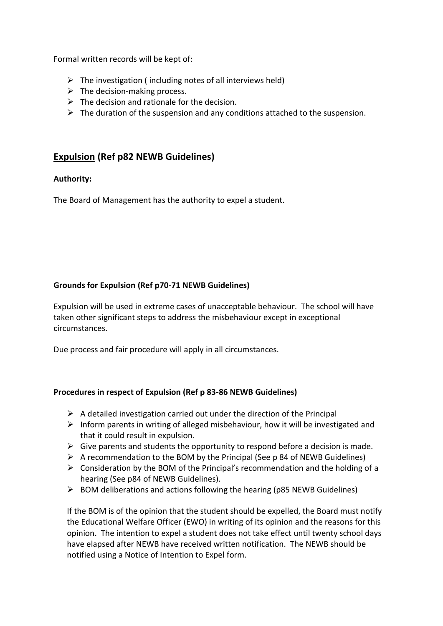Formal written records will be kept of:

- $\triangleright$  The investigation (including notes of all interviews held)
- $\triangleright$  The decision-making process.
- $\triangleright$  The decision and rationale for the decision.
- $\triangleright$  The duration of the suspension and any conditions attached to the suspension.

# **Expulsion (Ref p82 NEWB Guidelines)**

# **Authority:**

The Board of Management has the authority to expel a student.

# **Grounds for Expulsion (Ref p70-71 NEWB Guidelines)**

Expulsion will be used in extreme cases of unacceptable behaviour. The school will have taken other significant steps to address the misbehaviour except in exceptional circumstances.

Due process and fair procedure will apply in all circumstances.

# **Procedures in respect of Expulsion (Ref p 83-86 NEWB Guidelines)**

- $\triangleright$  A detailed investigation carried out under the direction of the Principal
- $\triangleright$  Inform parents in writing of alleged misbehaviour, how it will be investigated and that it could result in expulsion.
- $\triangleright$  Give parents and students the opportunity to respond before a decision is made.
- $\triangleright$  A recommendation to the BOM by the Principal (See p 84 of NEWB Guidelines)
- $\triangleright$  Consideration by the BOM of the Principal's recommendation and the holding of a hearing (See p84 of NEWB Guidelines).
- $\triangleright$  BOM deliberations and actions following the hearing (p85 NEWB Guidelines)

If the BOM is of the opinion that the student should be expelled, the Board must notify the Educational Welfare Officer (EWO) in writing of its opinion and the reasons for this opinion. The intention to expel a student does not take effect until twenty school days have elapsed after NEWB have received written notification. The NEWB should be notified using a Notice of Intention to Expel form.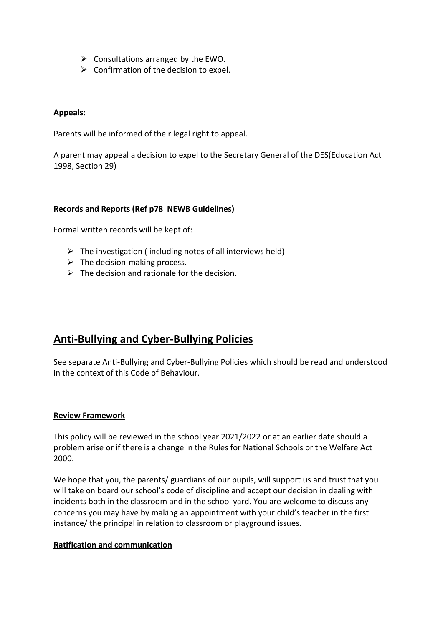- $\triangleright$  Consultations arranged by the EWO.
- $\triangleright$  Confirmation of the decision to expel.

#### **Appeals:**

Parents will be informed of their legal right to appeal.

A parent may appeal a decision to expel to the Secretary General of the DES(Education Act 1998, Section 29)

#### **Records and Reports (Ref p78 NEWB Guidelines)**

Formal written records will be kept of:

- $\triangleright$  The investigation (including notes of all interviews held)
- $\triangleright$  The decision-making process.
- $\triangleright$  The decision and rationale for the decision.

# **Anti-Bullying and Cyber-Bullying Policies**

See separate Anti-Bullying and Cyber-Bullying Policies which should be read and understood in the context of this Code of Behaviour.

#### **Review Framework**

This policy will be reviewed in the school year 2021/2022 or at an earlier date should a problem arise or if there is a change in the Rules for National Schools or the Welfare Act 2000.

We hope that you, the parents/ guardians of our pupils, will support us and trust that you will take on board our school's code of discipline and accept our decision in dealing with incidents both in the classroom and in the school yard. You are welcome to discuss any concerns you may have by making an appointment with your child's teacher in the first instance/ the principal in relation to classroom or playground issues.

#### **Ratification and communication**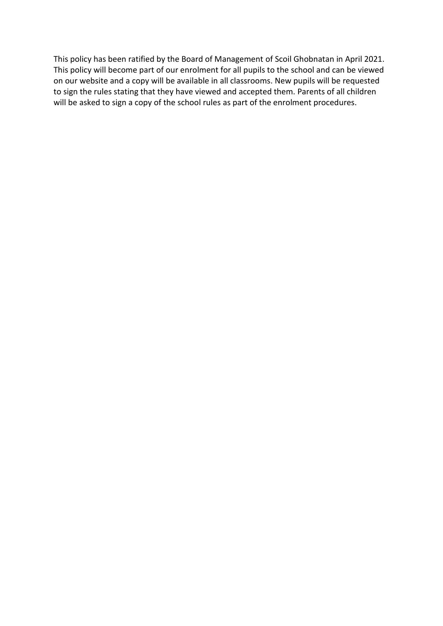This policy has been ratified by the Board of Management of Scoil Ghobnatan in April 2021. This policy will become part of our enrolment for all pupils to the school and can be viewed on our website and a copy will be available in all classrooms. New pupils will be requested to sign the rules stating that they have viewed and accepted them. Parents of all children will be asked to sign a copy of the school rules as part of the enrolment procedures.